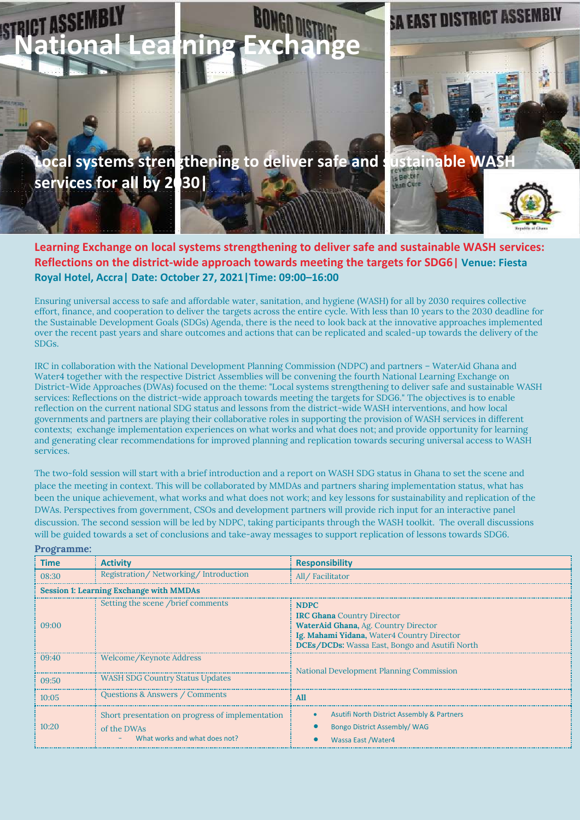

## **Learning Exchange on local systems strengthening to deliver safe and sustainable WASH services: Reflections on the district-wide approach towards meeting the targets for SDG6| Venue: Fiesta Royal Hotel, Accra| Date: October 27, 2021|Time: 09:00–16:00**

Ensuring universal access to safe and affordable water, sanitation, and hygiene (WASH) for all by 2030 requires collective effort, finance, and cooperation to deliver the targets across the entire cycle. With less than 10 years to the 2030 deadline for the Sustainable Development Goals (SDGs) Agenda, there is the need to look back at the innovative approaches implemented over the recent past years and share outcomes and actions that can be replicated and scaled-up towards the delivery of the SDGs.

IRC in collaboration with the National Development Planning Commission (NDPC) and partners – WaterAid Ghana and Water4 together with the respective District Assemblies will be convening the fourth National Learning Exchange on District-Wide Approaches (DWAs) focused on the theme: "Local systems strengthening to deliver safe and sustainable WASH services: Reflections on the district-wide approach towards meeting the targets for SDG6." The objectives is to enable reflection on the current national SDG status and lessons from the district-wide WASH interventions, and how local governments and partners are playing their collaborative roles in supporting the provision of WASH services in different contexts; exchange implementation experiences on what works and what does not; and provide opportunity for learning and generating clear recommendations for improved planning and replication towards securing universal access to WASH services.

The two-fold session will start with a brief introduction and a report on WASH SDG status in Ghana to set the scene and place the meeting in context. This will be collaborated by MMDAs and partners sharing implementation status, what has been the unique achievement, what works and what does not work; and key lessons for sustainability and replication of the DWAs. Perspectives from government, CSOs and development partners will provide rich input for an interactive panel discussion. The second session will be led by NDPC, taking participants through the WASH toolkit. The overall discussions will be guided towards a set of conclusions and take-away messages to support replication of lessons towards SDG6.

**Programme:**

| $-2$                                           |                                                                                                  |                                                                                                                                                                                          |  |
|------------------------------------------------|--------------------------------------------------------------------------------------------------|------------------------------------------------------------------------------------------------------------------------------------------------------------------------------------------|--|
| Time                                           | <b>Activity</b>                                                                                  | <b>Responsibility</b>                                                                                                                                                                    |  |
| 08:30                                          | Registration/Networking/Introduction                                                             | All/Facilitator                                                                                                                                                                          |  |
| <b>Session 1: Learning Exchange with MMDAs</b> |                                                                                                  |                                                                                                                                                                                          |  |
| 09:00                                          | Setting the scene /brief comments                                                                | <b>NDPC</b><br><b>IRC Ghana</b> Country Director<br>WaterAid Ghana, Ag. Country Director<br>Ig. Mahami Yidana, Water4 Country Director<br>DCEs/DCDs: Wassa East, Bongo and Asutifi North |  |
| (09:40)                                        | Welcome/Keynote Address                                                                          | National Development Planning Commission                                                                                                                                                 |  |
| 09:50                                          | <b>WASH SDG Country Status Updates</b>                                                           |                                                                                                                                                                                          |  |
| 10:05                                          | Questions & Answers / Comments                                                                   | All                                                                                                                                                                                      |  |
| 10:20                                          | Short presentation on progress of implementation<br>of the DWAs<br>What works and what does not? | <b>Asutifi North District Assembly &amp; Partners</b><br>$\bullet$<br><b>Bongo District Assembly/ WAG</b><br>Wassa East / Water4                                                         |  |